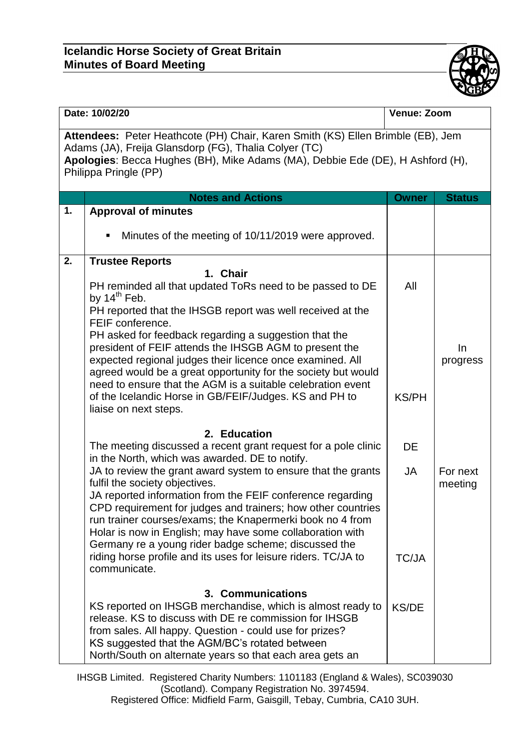## **Icelandic Horse Society of Great Britain Minutes of Board Meeting**



| Date: 10/02/20                                                                                                                                                                                                                                      |                                                                                                                                                                                                                                                                                                                                                                                                                                                                                   | Venue: Zoom               |                     |  |  |  |
|-----------------------------------------------------------------------------------------------------------------------------------------------------------------------------------------------------------------------------------------------------|-----------------------------------------------------------------------------------------------------------------------------------------------------------------------------------------------------------------------------------------------------------------------------------------------------------------------------------------------------------------------------------------------------------------------------------------------------------------------------------|---------------------------|---------------------|--|--|--|
| Attendees: Peter Heathcote (PH) Chair, Karen Smith (KS) Ellen Brimble (EB), Jem<br>Adams (JA), Freija Glansdorp (FG), Thalia Colyer (TC)<br>Apologies: Becca Hughes (BH), Mike Adams (MA), Debbie Ede (DE), H Ashford (H),<br>Philippa Pringle (PP) |                                                                                                                                                                                                                                                                                                                                                                                                                                                                                   |                           |                     |  |  |  |
|                                                                                                                                                                                                                                                     | <b>Notes and Actions</b>                                                                                                                                                                                                                                                                                                                                                                                                                                                          | <b>Owner</b>              | <b>Status</b>       |  |  |  |
| 1.                                                                                                                                                                                                                                                  | <b>Approval of minutes</b>                                                                                                                                                                                                                                                                                                                                                                                                                                                        |                           |                     |  |  |  |
|                                                                                                                                                                                                                                                     | Minutes of the meeting of 10/11/2019 were approved.<br>٠                                                                                                                                                                                                                                                                                                                                                                                                                          |                           |                     |  |  |  |
| 2.                                                                                                                                                                                                                                                  | <b>Trustee Reports</b>                                                                                                                                                                                                                                                                                                                                                                                                                                                            |                           |                     |  |  |  |
|                                                                                                                                                                                                                                                     | 1. Chair<br>PH reminded all that updated ToRs need to be passed to DE<br>by 14 <sup>th</sup> Feb.<br>PH reported that the IHSGB report was well received at the<br>FEIF conference.                                                                                                                                                                                                                                                                                               | All                       |                     |  |  |  |
|                                                                                                                                                                                                                                                     | PH asked for feedback regarding a suggestion that the<br>president of FEIF attends the IHSGB AGM to present the<br>expected regional judges their licence once examined. All<br>agreed would be a great opportunity for the society but would<br>need to ensure that the AGM is a suitable celebration event                                                                                                                                                                      |                           | In.<br>progress     |  |  |  |
|                                                                                                                                                                                                                                                     | of the Icelandic Horse in GB/FEIF/Judges. KS and PH to<br>liaise on next steps.                                                                                                                                                                                                                                                                                                                                                                                                   | <b>KS/PH</b>              |                     |  |  |  |
|                                                                                                                                                                                                                                                     | 2. Education                                                                                                                                                                                                                                                                                                                                                                                                                                                                      |                           |                     |  |  |  |
|                                                                                                                                                                                                                                                     | The meeting discussed a recent grant request for a pole clinic<br>in the North, which was awarded. DE to notify.                                                                                                                                                                                                                                                                                                                                                                  | <b>DE</b>                 |                     |  |  |  |
|                                                                                                                                                                                                                                                     | JA to review the grant award system to ensure that the grants<br>fulfil the society objectives.<br>JA reported information from the FEIF conference regarding<br>CPD requirement for judges and trainers; how other countries<br>run trainer courses/exams; the Knapermerki book no 4 from<br>Holar is now in English; may have some collaboration with<br>Germany re a young rider badge scheme; discussed the<br>riding horse profile and its uses for leisure riders. TC/JA to | <b>JA</b><br><b>TC/JA</b> | For next<br>meeting |  |  |  |
|                                                                                                                                                                                                                                                     | communicate.                                                                                                                                                                                                                                                                                                                                                                                                                                                                      |                           |                     |  |  |  |
|                                                                                                                                                                                                                                                     | 3. Communications<br>KS reported on IHSGB merchandise, which is almost ready to<br>release. KS to discuss with DE re commission for IHSGB<br>from sales. All happy. Question - could use for prizes?<br>KS suggested that the AGM/BC's rotated between<br>North/South on alternate years so that each area gets an                                                                                                                                                                | <b>KS/DE</b>              |                     |  |  |  |

IHSGB Limited. Registered Charity Numbers: 1101183 (England & Wales), SC039030 (Scotland). Company Registration No. 3974594. Registered Office: Midfield Farm, Gaisgill, Tebay, Cumbria, CA10 3UH.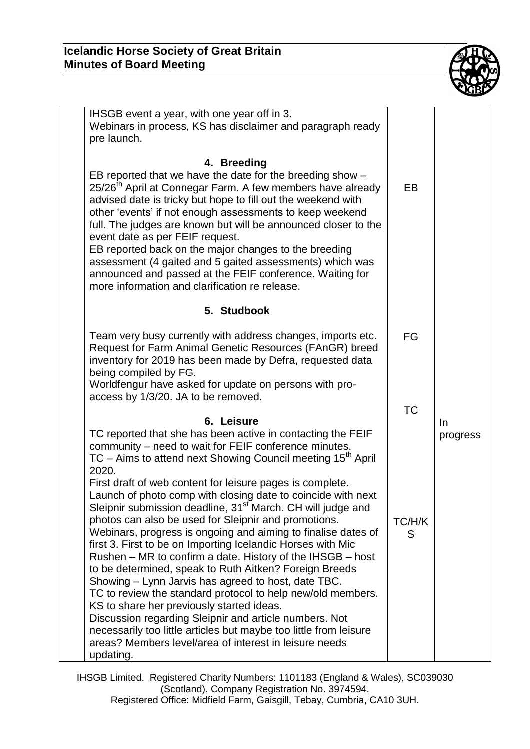

| IHSGB event a year, with one year off in 3.<br>Webinars in process, KS has disclaimer and paragraph ready<br>pre launch.                                                                                                                                                                                                                                                                                                                                                                                                                                                                                                                                                                                                                                                                                                                                                                                                                                                                                                                                                                                                |                          |                |
|-------------------------------------------------------------------------------------------------------------------------------------------------------------------------------------------------------------------------------------------------------------------------------------------------------------------------------------------------------------------------------------------------------------------------------------------------------------------------------------------------------------------------------------------------------------------------------------------------------------------------------------------------------------------------------------------------------------------------------------------------------------------------------------------------------------------------------------------------------------------------------------------------------------------------------------------------------------------------------------------------------------------------------------------------------------------------------------------------------------------------|--------------------------|----------------|
| 4. Breeding<br>EB reported that we have the date for the breeding show -<br>25/26 <sup>th</sup> April at Connegar Farm. A few members have already<br>advised date is tricky but hope to fill out the weekend with<br>other 'events' if not enough assessments to keep weekend<br>full. The judges are known but will be announced closer to the<br>event date as per FEIF request.<br>EB reported back on the major changes to the breeding<br>assessment (4 gaited and 5 gaited assessments) which was<br>announced and passed at the FEIF conference. Waiting for<br>more information and clarification re release.                                                                                                                                                                                                                                                                                                                                                                                                                                                                                                  | <b>EB</b>                |                |
| 5. Studbook                                                                                                                                                                                                                                                                                                                                                                                                                                                                                                                                                                                                                                                                                                                                                                                                                                                                                                                                                                                                                                                                                                             |                          |                |
| Team very busy currently with address changes, imports etc.<br>Request for Farm Animal Genetic Resources (FAnGR) breed<br>inventory for 2019 has been made by Defra, requested data<br>being compiled by FG.<br>Worldfengur have asked for update on persons with pro-                                                                                                                                                                                                                                                                                                                                                                                                                                                                                                                                                                                                                                                                                                                                                                                                                                                  | FG                       |                |
| access by 1/3/20. JA to be removed.                                                                                                                                                                                                                                                                                                                                                                                                                                                                                                                                                                                                                                                                                                                                                                                                                                                                                                                                                                                                                                                                                     |                          |                |
| 6. Leisure<br>TC reported that she has been active in contacting the FEIF<br>community – need to wait for FEIF conference minutes.<br>TC – Aims to attend next Showing Council meeting 15 <sup>th</sup> April<br>2020.<br>First draft of web content for leisure pages is complete.<br>Launch of photo comp with closing date to coincide with next<br>Sleipnir submission deadline, 31 <sup>st</sup> March. CH will judge and<br>photos can also be used for Sleipnir and promotions.<br>Webinars, progress is ongoing and aiming to finalise dates of<br>first 3. First to be on Importing Icelandic Horses with Mic<br>Rushen – MR to confirm a date. History of the IHSGB – host<br>to be determined, speak to Ruth Aitken? Foreign Breeds<br>Showing – Lynn Jarvis has agreed to host, date TBC.<br>TC to review the standard protocol to help new/old members.<br>KS to share her previously started ideas.<br>Discussion regarding Sleipnir and article numbers. Not<br>necessarily too little articles but maybe too little from leisure<br>areas? Members level/area of interest in leisure needs<br>updating. | <b>TC</b><br>TC/H/K<br>S | In<br>progress |

IHSGB Limited. Registered Charity Numbers: 1101183 (England & Wales), SC039030 (Scotland). Company Registration No. 3974594. Registered Office: Midfield Farm, Gaisgill, Tebay, Cumbria, CA10 3UH.